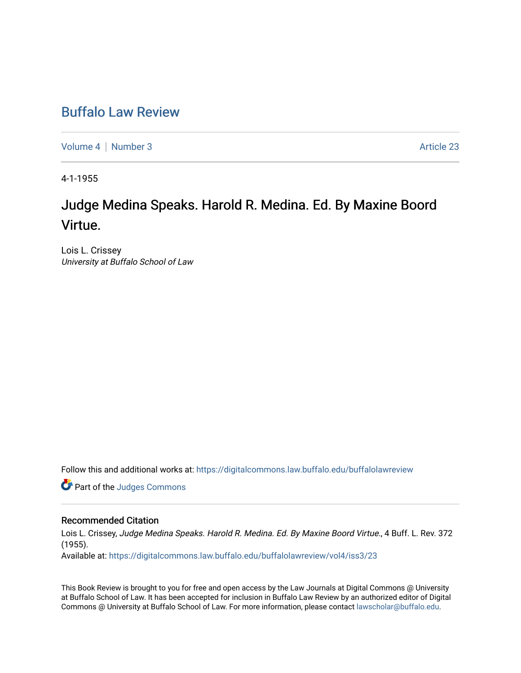## [Buffalo Law Review](https://digitalcommons.law.buffalo.edu/buffalolawreview)

[Volume 4](https://digitalcommons.law.buffalo.edu/buffalolawreview/vol4) | [Number 3](https://digitalcommons.law.buffalo.edu/buffalolawreview/vol4/iss3) Article 23

4-1-1955

# Judge Medina Speaks. Harold R. Medina. Ed. By Maxine Boord Virtue.

Lois L. Crissey University at Buffalo School of Law

Follow this and additional works at: [https://digitalcommons.law.buffalo.edu/buffalolawreview](https://digitalcommons.law.buffalo.edu/buffalolawreview?utm_source=digitalcommons.law.buffalo.edu%2Fbuffalolawreview%2Fvol4%2Fiss3%2F23&utm_medium=PDF&utm_campaign=PDFCoverPages) 

Part of the [Judges Commons](http://network.bepress.com/hgg/discipline/849?utm_source=digitalcommons.law.buffalo.edu%2Fbuffalolawreview%2Fvol4%2Fiss3%2F23&utm_medium=PDF&utm_campaign=PDFCoverPages) 

#### Recommended Citation

Lois L. Crissey, Judge Medina Speaks. Harold R. Medina. Ed. By Maxine Boord Virtue., 4 Buff. L. Rev. 372 (1955).

Available at: [https://digitalcommons.law.buffalo.edu/buffalolawreview/vol4/iss3/23](https://digitalcommons.law.buffalo.edu/buffalolawreview/vol4/iss3/23?utm_source=digitalcommons.law.buffalo.edu%2Fbuffalolawreview%2Fvol4%2Fiss3%2F23&utm_medium=PDF&utm_campaign=PDFCoverPages) 

This Book Review is brought to you for free and open access by the Law Journals at Digital Commons @ University at Buffalo School of Law. It has been accepted for inclusion in Buffalo Law Review by an authorized editor of Digital Commons @ University at Buffalo School of Law. For more information, please contact [lawscholar@buffalo.edu](mailto:lawscholar@buffalo.edu).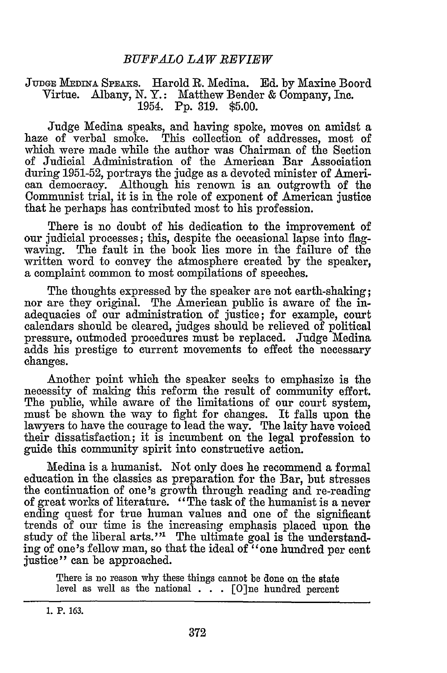#### **JUDGE MEDINA SPEAKS.** Harold R. Medina. **Ed.** by Maxine Boord Virtue. Albany, **N.** Y.: Matthew Bender & Company, Inc. 1954. **Pp.** 319. \$5.00.

Judge Medina speaks, and having spoke, moves on amidst a haze of verbal smoke. This collection of addresses, most of which were made while the author was Chairman of the Section of Judicial Administration of the American Bar Association during 1951-52, portrays the judge as a devoted minister of American democracy. Although his renown is an outgrowth of the Communist trial, it is in the role of exponent of American justice that he perhaps has contributed most to his profession.

There is no doubt of his dedication to the improvement of our judicial processes; this, despite the occasional lapse into flagwaving. The fault in the book lies more in the failure of the written word to convey the atmosphere created by the speaker, a complaint common to most compilations of speeches.

The thoughts expressed by the speaker are not earth-shaking; nor are they original. The American public is aware of the inadequacies of our administration of justice; for example, court calendars should be cleared, judges should be relieved of political pressure, outmoded procedures must be replaced. Judge Medina adds his prestige to current movements to effect the necessary changes.

Another point which the speaker seeks to emphasize is the necessity of making this reform the result of community effort. The public, while aware of the limitations of our court system, must be shown the way to fight for changes. It falls upon the lawyers to have the courage to lead the way. The laity have voiced their dissatisfaction; it is incumbent on the legal profession to guide this community spirit into constructive action.

Medina is a humanist. Not only does he recommend a formal education in the classics as preparation for the Bar, but stresses the continuation of one's growth through reading and re-reading of great works of literature. "The task of the humanist is a never ending quest for true human values and one of the significant trends of our time is the increasing emphasis placed upon the study of the liberal arts."<sup>1</sup> The ultimate goal is the understanding of one's fellow man, so that the ideal of "one hundred **per** cent justice" can be approached.

There is no reason why these things cannot be done on the state level as well as the national . **. .** [O]ne hundred percent

**<sup>1.</sup> P. 163.**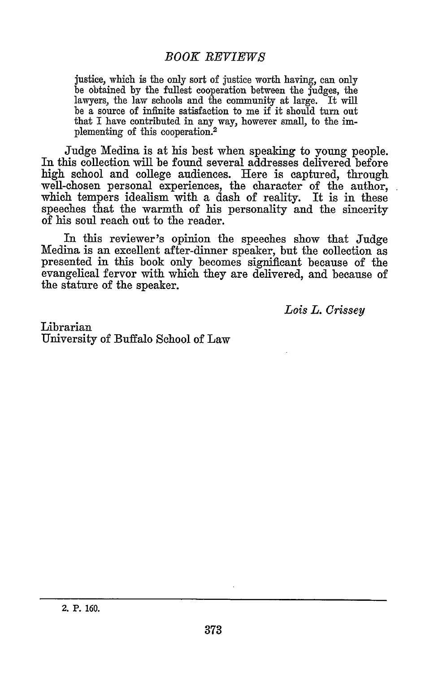### *BOOK REVIEWS*

justice, which is the only sort of justice worth having, can only be obtained by the fullest cooperation between the judges, the lawyers, the law schools and the community at large. It will be a source of infinite satisfaction to me if it should turn out that I have contributed in any way, however small, to the implementing of this cooperation.<sup>2</sup>

Judge Medina is at his best when speaking to young people. In this collection will be found several addresses delivered before high school and college audiences. Here is captured, through well-chosen personal experiences, the character of the author, which tempers idealism with a dash of reality. It is in these speeches that the warmth of his personality and the sincerity of his soul reach out to the reader.

In this reviewer's opinion the speeches show that Judge Medina is an excellent after-dinner speaker, but the collection as presented in this book only becomes significant because of the evangelical fervor with which they are delivered, and because of the stature of the speaker.

*Lois L. Crissey*

Librarian University of Buffalo School of Law